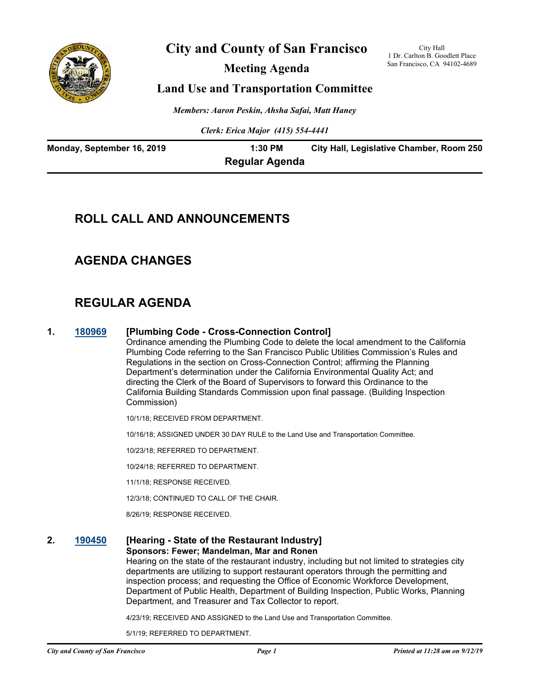

## **City and County of San Francisco**

**Meeting Agenda**

City Hall 1 Dr. Carlton B. Goodlett Place San Francisco, CA 94102-4689

## **Land Use and Transportation Committee**

*Members: Aaron Peskin, Ahsha Safai, Matt Haney*

*Clerk: Erica Major (415) 554-4441*

| Monday, September 16, 2019 | 1:30 PM               | City Hall, Legislative Chamber, Room 250 |
|----------------------------|-----------------------|------------------------------------------|
|                            | <b>Regular Agenda</b> |                                          |

## **ROLL CALL AND ANNOUNCEMENTS**

## **AGENDA CHANGES**

# **REGULAR AGENDA**

### **1. [180969](http://sfgov.legistar.com/gateway.aspx?m=l&id=33838) [Plumbing Code - Cross-Connection Control]**

Ordinance amending the Plumbing Code to delete the local amendment to the California Plumbing Code referring to the San Francisco Public Utilities Commission's Rules and Regulations in the section on Cross-Connection Control; affirming the Planning Department's determination under the California Environmental Quality Act; and directing the Clerk of the Board of Supervisors to forward this Ordinance to the California Building Standards Commission upon final passage. (Building Inspection Commission)

10/1/18; RECEIVED FROM DEPARTMENT.

10/16/18; ASSIGNED UNDER 30 DAY RULE to the Land Use and Transportation Committee.

10/23/18; REFERRED TO DEPARTMENT.

10/24/18; REFERRED TO DEPARTMENT.

11/1/18; RESPONSE RECEIVED.

12/3/18; CONTINUED TO CALL OF THE CHAIR.

8/26/19; RESPONSE RECEIVED.

#### **2. [190450](http://sfgov.legistar.com/gateway.aspx?m=l&id=34571) [Hearing - State of the Restaurant Industry] Sponsors: Fewer; Mandelman, Mar and Ronen**

Hearing on the state of the restaurant industry, including but not limited to strategies city departments are utilizing to support restaurant operators through the permitting and inspection process; and requesting the Office of Economic Workforce Development, Department of Public Health, Department of Building Inspection, Public Works, Planning Department, and Treasurer and Tax Collector to report.

4/23/19; RECEIVED AND ASSIGNED to the Land Use and Transportation Committee.

5/1/19; REFERRED TO DEPARTMENT.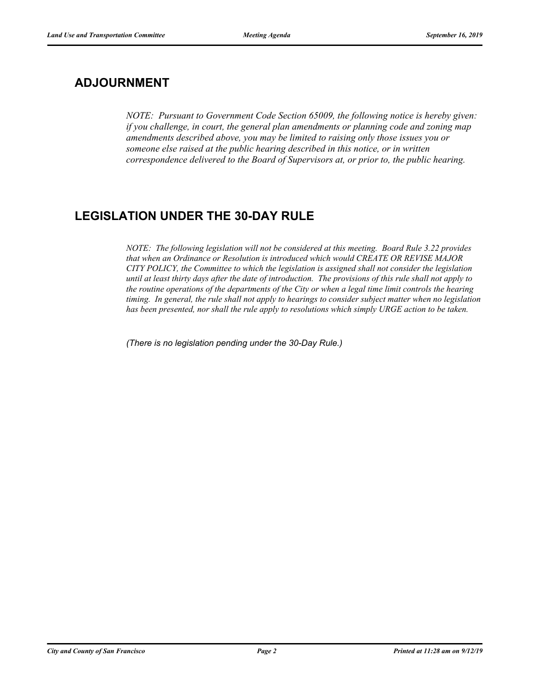# **ADJOURNMENT**

*NOTE: Pursuant to Government Code Section 65009, the following notice is hereby given: if you challenge, in court, the general plan amendments or planning code and zoning map amendments described above, you may be limited to raising only those issues you or someone else raised at the public hearing described in this notice, or in written correspondence delivered to the Board of Supervisors at, or prior to, the public hearing.*

# **LEGISLATION UNDER THE 30-DAY RULE**

*NOTE: The following legislation will not be considered at this meeting. Board Rule 3.22 provides that when an Ordinance or Resolution is introduced which would CREATE OR REVISE MAJOR CITY POLICY, the Committee to which the legislation is assigned shall not consider the legislation until at least thirty days after the date of introduction. The provisions of this rule shall not apply to the routine operations of the departments of the City or when a legal time limit controls the hearing timing. In general, the rule shall not apply to hearings to consider subject matter when no legislation has been presented, nor shall the rule apply to resolutions which simply URGE action to be taken.*

*(There is no legislation pending under the 30-Day Rule.)*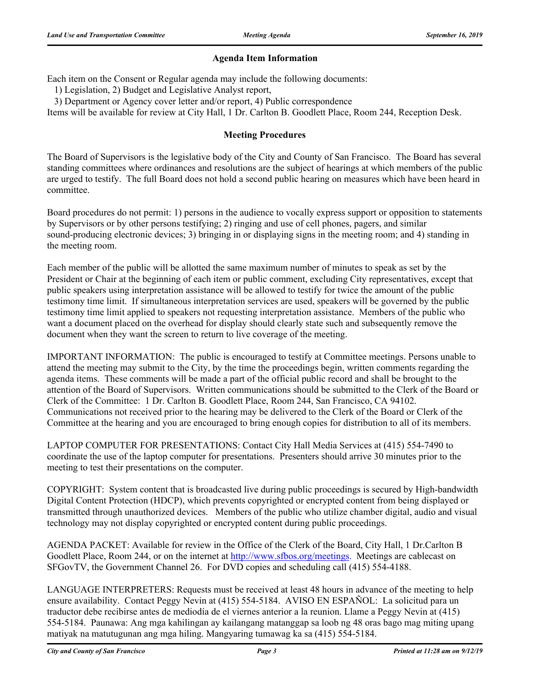## **Agenda Item Information**

Each item on the Consent or Regular agenda may include the following documents:

1) Legislation, 2) Budget and Legislative Analyst report,

3) Department or Agency cover letter and/or report, 4) Public correspondence

Items will be available for review at City Hall, 1 Dr. Carlton B. Goodlett Place, Room 244, Reception Desk.

## **Meeting Procedures**

The Board of Supervisors is the legislative body of the City and County of San Francisco. The Board has several standing committees where ordinances and resolutions are the subject of hearings at which members of the public are urged to testify. The full Board does not hold a second public hearing on measures which have been heard in committee.

Board procedures do not permit: 1) persons in the audience to vocally express support or opposition to statements by Supervisors or by other persons testifying; 2) ringing and use of cell phones, pagers, and similar sound-producing electronic devices; 3) bringing in or displaying signs in the meeting room; and 4) standing in the meeting room.

Each member of the public will be allotted the same maximum number of minutes to speak as set by the President or Chair at the beginning of each item or public comment, excluding City representatives, except that public speakers using interpretation assistance will be allowed to testify for twice the amount of the public testimony time limit. If simultaneous interpretation services are used, speakers will be governed by the public testimony time limit applied to speakers not requesting interpretation assistance. Members of the public who want a document placed on the overhead for display should clearly state such and subsequently remove the document when they want the screen to return to live coverage of the meeting.

IMPORTANT INFORMATION: The public is encouraged to testify at Committee meetings. Persons unable to attend the meeting may submit to the City, by the time the proceedings begin, written comments regarding the agenda items. These comments will be made a part of the official public record and shall be brought to the attention of the Board of Supervisors. Written communications should be submitted to the Clerk of the Board or Clerk of the Committee: 1 Dr. Carlton B. Goodlett Place, Room 244, San Francisco, CA 94102. Communications not received prior to the hearing may be delivered to the Clerk of the Board or Clerk of the Committee at the hearing and you are encouraged to bring enough copies for distribution to all of its members.

LAPTOP COMPUTER FOR PRESENTATIONS: Contact City Hall Media Services at (415) 554-7490 to coordinate the use of the laptop computer for presentations. Presenters should arrive 30 minutes prior to the meeting to test their presentations on the computer.

COPYRIGHT: System content that is broadcasted live during public proceedings is secured by High-bandwidth Digital Content Protection (HDCP), which prevents copyrighted or encrypted content from being displayed or transmitted through unauthorized devices. Members of the public who utilize chamber digital, audio and visual technology may not display copyrighted or encrypted content during public proceedings.

AGENDA PACKET: Available for review in the Office of the Clerk of the Board, City Hall, 1 Dr.Carlton B Goodlett Place, Room 244, or on the internet at http://www.sfbos.org/meetings. Meetings are cablecast on SFGovTV, the Government Channel 26. For DVD copies and scheduling call (415) 554-4188.

LANGUAGE INTERPRETERS: Requests must be received at least 48 hours in advance of the meeting to help ensure availability. Contact Peggy Nevin at (415) 554-5184. AVISO EN ESPAÑOL: La solicitud para un traductor debe recibirse antes de mediodía de el viernes anterior a la reunion. Llame a Peggy Nevin at (415) 554-5184. Paunawa: Ang mga kahilingan ay kailangang matanggap sa loob ng 48 oras bago mag miting upang matiyak na matutugunan ang mga hiling. Mangyaring tumawag ka sa (415) 554-5184.